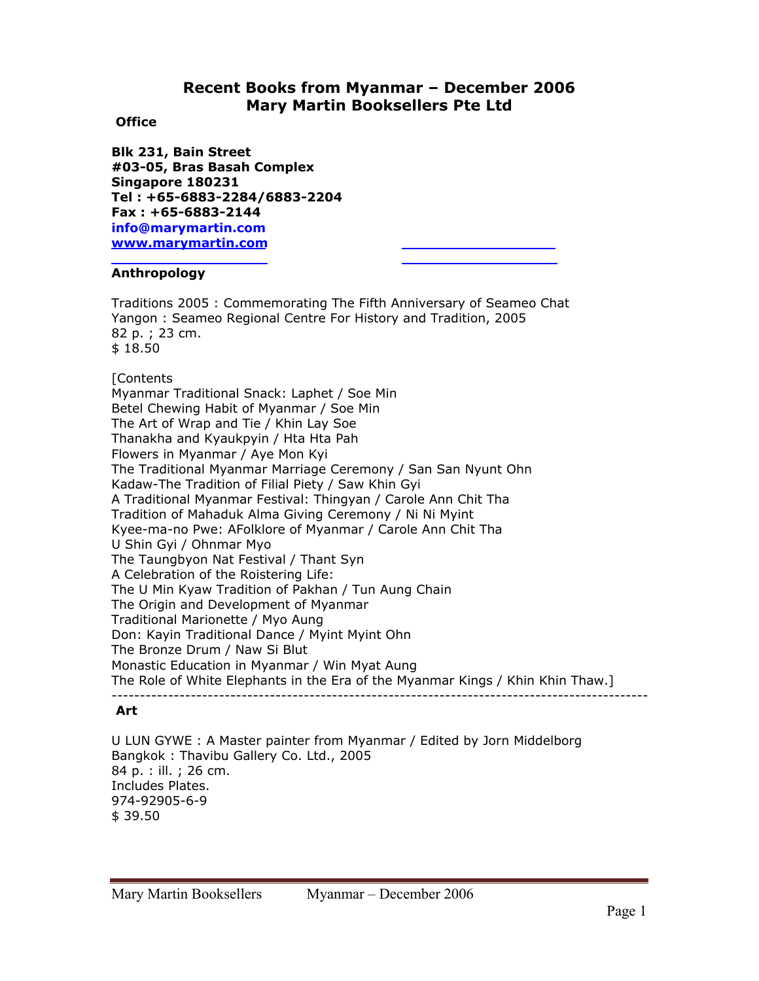# **Recent Books from Myanmar – December 2006 Mary Martin Booksellers Pte Ltd**

# **Office**

**Blk 231, Bain Street #03-05, Bras Basah Complex Singapore 180231 Tel : +65-6883-2284/6883-2204 Fax : +65-6883-2144 info@marymartin.com www.marymartin.com**

# **Anthropology**

Traditions 2005 : Commemorating The Fifth Anniversary of Seameo Chat Yangon : Seameo Regional Centre For History and Tradition, 2005 82 p. ; 23 cm. \$ 18.50

# **[Contents**

Myanmar Traditional Snack: Laphet / Soe Min Betel Chewing Habit of Myanmar / Soe Min The Art of Wrap and Tie / Khin Lay Soe Thanakha and Kyaukpyin / Hta Hta Pah Flowers in Myanmar / Aye Mon Kyi The Traditional Myanmar Marriage Ceremony / San San Nyunt Ohn Kadaw-The Tradition of Filial Piety / Saw Khin Gyi A Traditional Myanmar Festival: Thingyan / Carole Ann Chit Tha Tradition of Mahaduk Alma Giving Ceremony / Ni Ni Myint Kyee-ma-no Pwe: AFolklore of Myanmar / Carole Ann Chit Tha U Shin Gyi / Ohnmar Myo The Taungbyon Nat Festival / Thant Syn A Celebration of the Roistering Life: The U Min Kyaw Tradition of Pakhan / Tun Aung Chain The Origin and Development of Myanmar Traditional Marionette / Myo Aung Don: Kayin Traditional Dance / Myint Myint Ohn The Bronze Drum / Naw Si Blut Monastic Education in Myanmar / Win Myat Aung The Role of White Elephants in the Era of the Myanmar Kings / Khin Khin Thaw.] -----------------------------------------------------------------------------------------------

# **Art**

U LUN GYWE : A Master painter from Myanmar / Edited by Jorn Middelborg Bangkok : Thavibu Gallery Co. Ltd., 2005 84 p. : ill. ; 26 cm. Includes Plates. 974-92905-6-9 \$ 39.50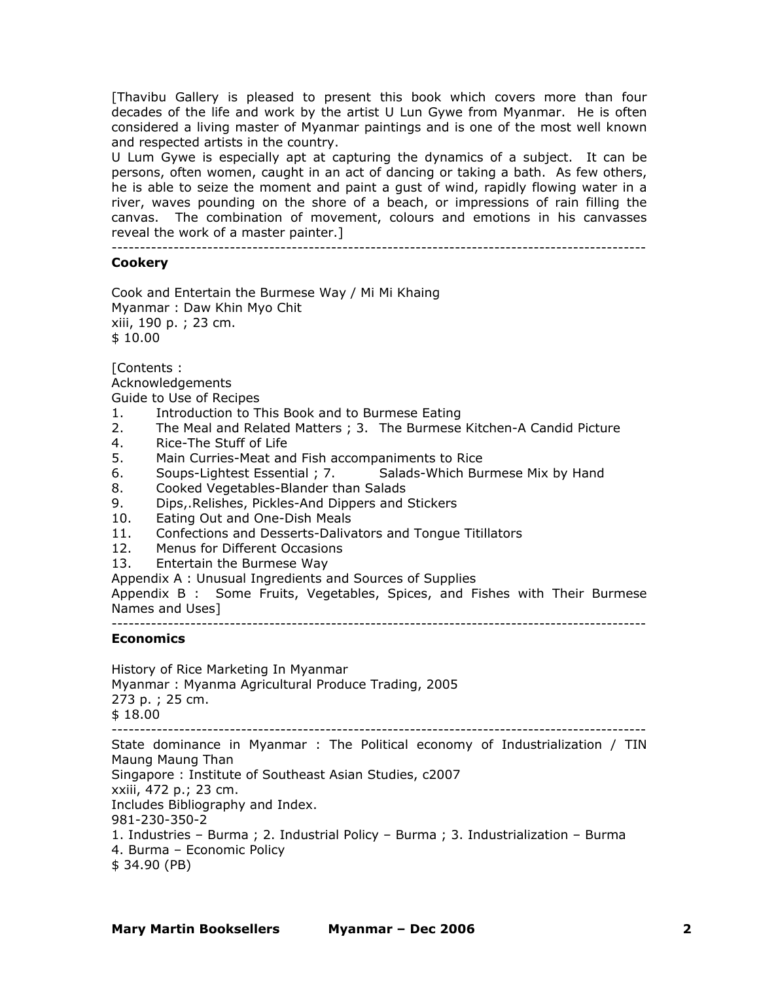[Thavibu Gallery is pleased to present this book which covers more than four decades of the life and work by the artist U Lun Gywe from Myanmar. He is often considered a living master of Myanmar paintings and is one of the most well known and respected artists in the country.

U Lum Gywe is especially apt at capturing the dynamics of a subject. It can be persons, often women, caught in an act of dancing or taking a bath. As few others, he is able to seize the moment and paint a gust of wind, rapidly flowing water in a river, waves pounding on the shore of a beach, or impressions of rain filling the canvas. The combination of movement, colours and emotions in his canvasses reveal the work of a master painter.]

-----------------------------------------------------------------------------------------------

## **Cookery**

Cook and Entertain the Burmese Way / Mi Mi Khaing Myanmar : Daw Khin Myo Chit xiii, 190 p. ; 23 cm. \$ 10.00

[Contents :

Acknowledgements

Guide to Use of Recipes

- 1. Introduction to This Book and to Burmese Eating
- 2. The Meal and Related Matters ; 3. The Burmese Kitchen-A Candid Picture
- 4. Rice-The Stuff of Life
- 5. Main Curries-Meat and Fish accompaniments to Rice
- 6. Soups-Lightest Essential ; 7. Salads-Which Burmese Mix by Hand
- 8. Cooked Vegetables-Blander than Salads
- 9. Dips,.Relishes, Pickles-And Dippers and Stickers
- 10. Eating Out and One-Dish Meals
- 11. Confections and Desserts-Dalivators and Tongue Titillators
- 12. Menus for Different Occasions
- 13. Entertain the Burmese Way

Appendix A : Unusual Ingredients and Sources of Supplies

Appendix B : Some Fruits, Vegetables, Spices, and Fishes with Their Burmese Names and Uses]

-----------------------------------------------------------------------------------------------

# **Economics**

History of Rice Marketing In Myanmar

Myanmar : Myanma Agricultural Produce Trading, 2005 273 p. ; 25 cm.

\$ 18.00

-----------------------------------------------------------------------------------------------

State dominance in Myanmar : The Political economy of Industrialization / TIN Maung Maung Than

Singapore : Institute of Southeast Asian Studies, c2007

xxiii, 472 p.; 23 cm.

Includes Bibliography and Index.

981-230-350-2

- 1. Industries Burma ; 2. Industrial Policy Burma ; 3. Industrialization Burma
- 4. Burma Economic Policy
- \$ 34.90 (PB)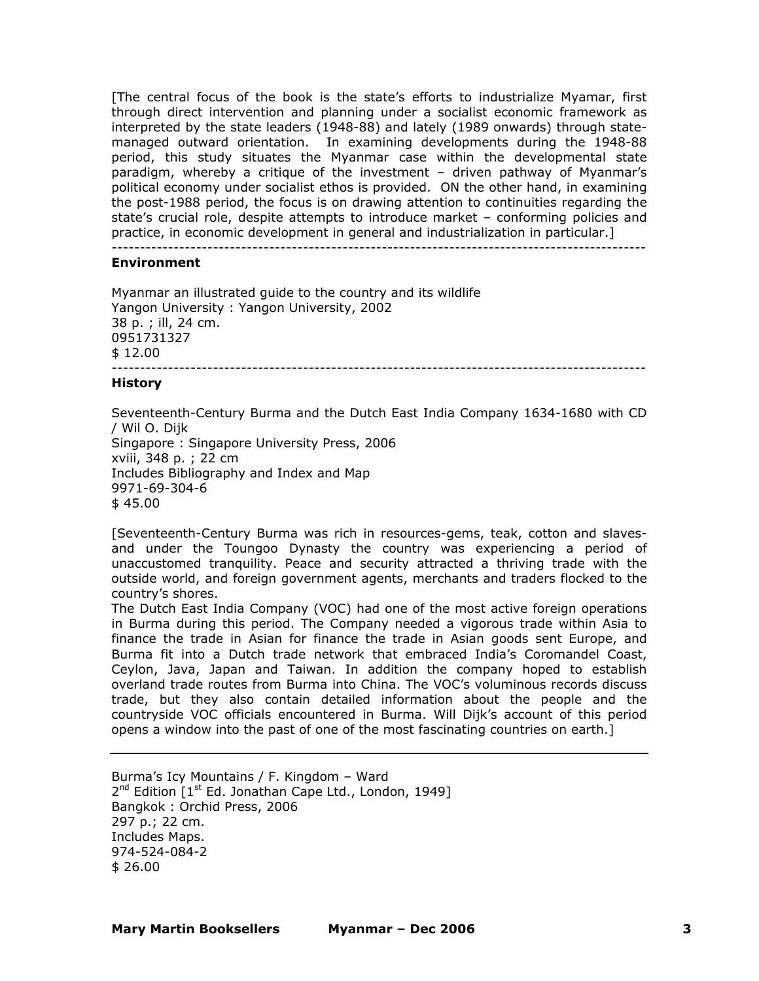[The central focus of the book is the state's efforts to industrialize Myamar, first through direct intervention and planning under a socialist economic framework as interpreted by the state leaders (1948-88) and lately (1989 onwards) through statemanaged outward orientation. In examining developments during the 1948-88 period, this study situates the Myanmar case within the developmental state paradigm, whereby a critique of the investment – driven pathway of Myanmar's political economy under socialist ethos is provided. ON the other hand, in examining the post-1988 period, the focus is on drawing attention to continuities regarding the state's crucial role, despite attempts to introduce market – conforming policies and practice, in economic development in general and industrialization in particular.]

-----------------------------------------------------------------------------------------------

### **Environment**

Myanmar an illustrated guide to the country and its wildlife Yangon University : Yangon University, 2002 38 p. ; ill, 24 cm. 0951731327 \$ 12.00 -----------------------------------------------------------------------------------------------

#### **History**

Seventeenth-Century Burma and the Dutch East India Company 1634-1680 with CD / Wil O. Dijk Singapore : Singapore University Press, 2006 xviii, 348 p. ; 22 cm Includes Bibliography and Index and Map 9971-69-304-6 \$ 45.00

[Seventeenth-Century Burma was rich in resources-gems, teak, cotton and slavesand under the Toungoo Dynasty the country was experiencing a period of unaccustomed tranquility. Peace and security attracted a thriving trade with the outside world, and foreign government agents, merchants and traders flocked to the country's shores.

The Dutch East India Company (VOC) had one of the most active foreign operations in Burma during this period. The Company needed a vigorous trade within Asia to finance the trade in Asian for finance the trade in Asian goods sent Europe, and Burma fit into a Dutch trade network that embraced India's Coromandel Coast, Ceylon, Java, Japan and Taiwan. In addition the company hoped to establish overland trade routes from Burma into China. The VOC's voluminous records discuss trade, but they also contain detailed information about the people and the countryside VOC officials encountered in Burma. Will Dijk's account of this period opens a window into the past of one of the most fascinating countries on earth.]

Burma's Icy Mountains / F. Kingdom – Ward 2<sup>nd</sup> Edition [1<sup>st</sup> Ed. Jonathan Cape Ltd., London, 1949] Bangkok : Orchid Press, 2006 297 p.; 22 cm. Includes Maps. 974-524-084-2 \$ 26.00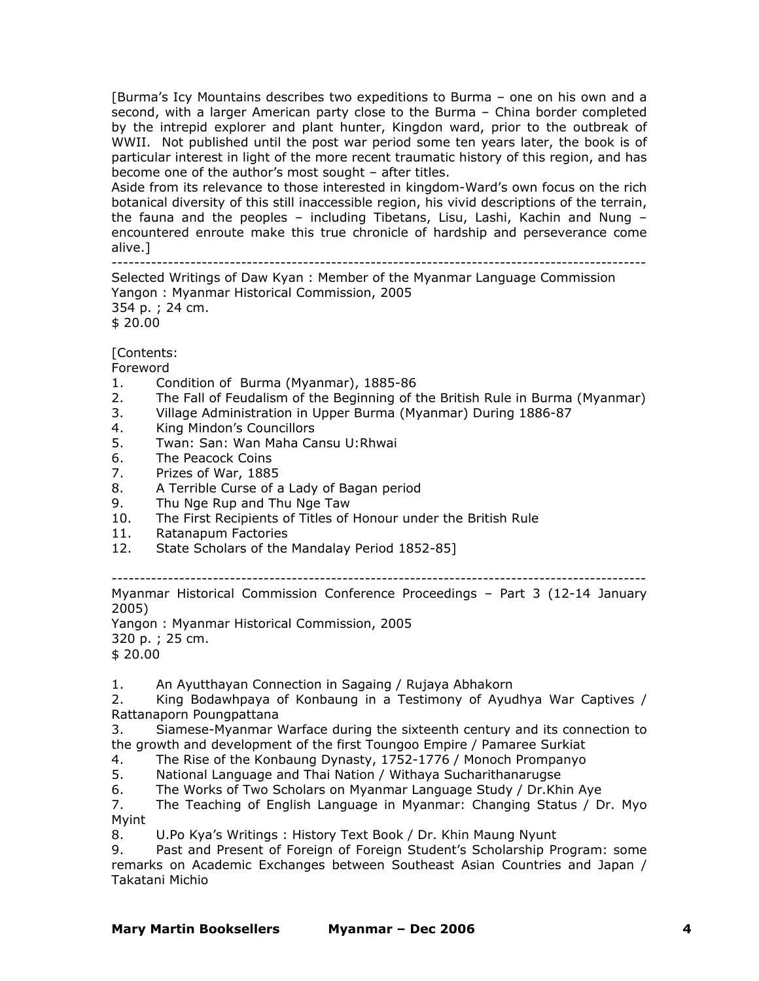[Burma's Icy Mountains describes two expeditions to Burma – one on his own and a second, with a larger American party close to the Burma – China border completed by the intrepid explorer and plant hunter, Kingdon ward, prior to the outbreak of WWII. Not published until the post war period some ten years later, the book is of particular interest in light of the more recent traumatic history of this region, and has become one of the author's most sought – after titles.

Aside from its relevance to those interested in kingdom-Ward's own focus on the rich botanical diversity of this still inaccessible region, his vivid descriptions of the terrain, the fauna and the peoples – including Tibetans, Lisu, Lashi, Kachin and Nung – encountered enroute make this true chronicle of hardship and perseverance come alive.]<br>--------------------------------------------------------------------------------------------------------

Selected Writings of Daw Kyan : Member of the Myanmar Language Commission Yangon : Myanmar Historical Commission, 2005 354 p. ; 24 cm. \$ 20.00

[Contents:

Foreword

- 1. Condition of Burma (Myanmar), 1885-86
- 2. The Fall of Feudalism of the Beginning of the British Rule in Burma (Myanmar)
- 3. Village Administration in Upper Burma (Myanmar) During 1886-87
- 4. King Mindon's Councillors
- 5. Twan: San: Wan Maha Cansu U:Rhwai
- 6. The Peacock Coins
- 7. Prizes of War, 1885
- 8. A Terrible Curse of a Lady of Bagan period
- 9. Thu Nge Rup and Thu Nge Taw
- 10. The First Recipients of Titles of Honour under the British Rule
- 11. Ratanapum Factories
- 12. State Scholars of the Mandalay Period 1852-85]

-----------------------------------------------------------------------------------------------

Myanmar Historical Commission Conference Proceedings – Part 3 (12-14 January 2005)

Yangon : Myanmar Historical Commission, 2005

320 p. ; 25 cm.

\$ 20.00

1. An Ayutthayan Connection in Sagaing / Rujaya Abhakorn

2. King Bodawhpaya of Konbaung in a Testimony of Ayudhya War Captives / Rattanaporn Poungpattana

3. Siamese-Myanmar Warface during the sixteenth century and its connection to the growth and development of the first Toungoo Empire / Pamaree Surkiat

4. The Rise of the Konbaung Dynasty, 1752-1776 / Monoch Prompanyo

5. National Language and Thai Nation / Withaya Sucharithanarugse

6. The Works of Two Scholars on Myanmar Language Study / Dr.Khin Aye

7. The Teaching of English Language in Myanmar: Changing Status / Dr. Myo Myint

8. U.Po Kya's Writings : History Text Book / Dr. Khin Maung Nyunt

9. Past and Present of Foreign of Foreign Student's Scholarship Program: some remarks on Academic Exchanges between Southeast Asian Countries and Japan / Takatani Michio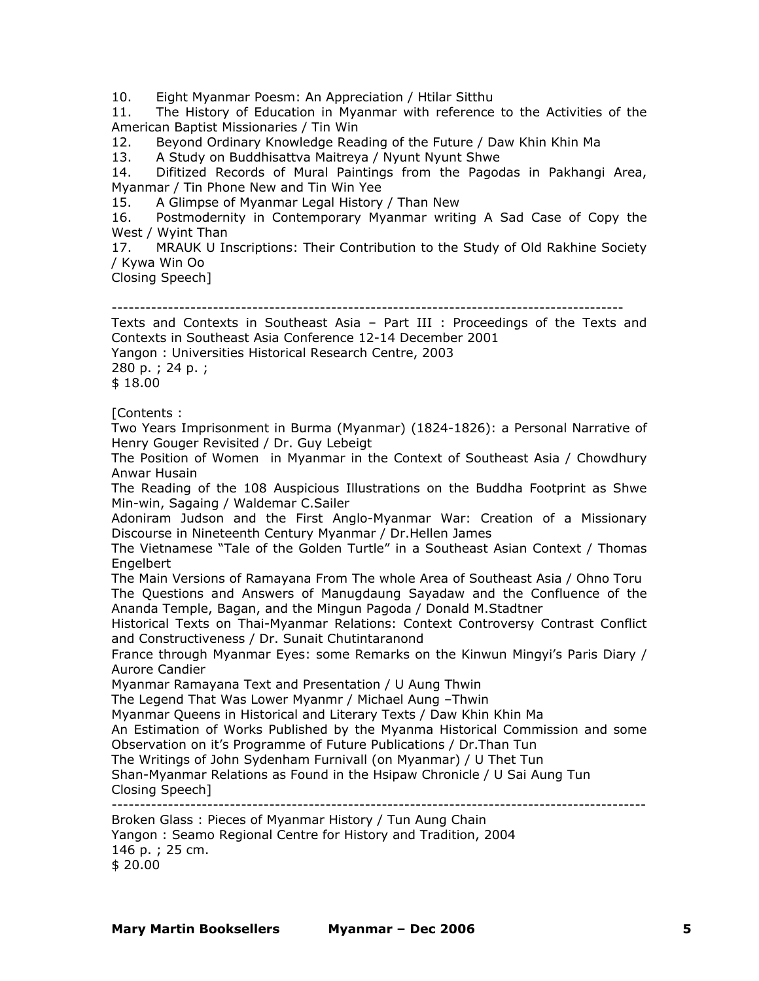10. Eight Myanmar Poesm: An Appreciation / Htilar Sitthu

11. The History of Education in Myanmar with reference to the Activities of the American Baptist Missionaries / Tin Win

12. Beyond Ordinary Knowledge Reading of the Future / Daw Khin Khin Ma

13. A Study on Buddhisattva Maitreya / Nyunt Nyunt Shwe

14. Difitized Records of Mural Paintings from the Pagodas in Pakhangi Area, Myanmar / Tin Phone New and Tin Win Yee

15. A Glimpse of Myanmar Legal History / Than New

16. Postmodernity in Contemporary Myanmar writing A Sad Case of Copy the West / Wyint Than

17. MRAUK U Inscriptions: Their Contribution to the Study of Old Rakhine Society / Kywa Win Oo

Closing Speech]

-------------------------------------------------------------------------------------------

Texts and Contexts in Southeast Asia – Part III : Proceedings of the Texts and Contexts in Southeast Asia Conference 12-14 December 2001

Yangon : Universities Historical Research Centre, 2003 280 p. ; 24 p. ;

\$ 18.00

[Contents :

Two Years Imprisonment in Burma (Myanmar) (1824-1826): a Personal Narrative of Henry Gouger Revisited / Dr. Guy Lebeigt

The Position of Women in Myanmar in the Context of Southeast Asia / Chowdhury Anwar Husain

The Reading of the 108 Auspicious Illustrations on the Buddha Footprint as Shwe Min-win, Sagaing / Waldemar C.Sailer

Adoniram Judson and the First Anglo-Myanmar War: Creation of a Missionary Discourse in Nineteenth Century Myanmar / Dr.Hellen James

The Vietnamese "Tale of the Golden Turtle" in a Southeast Asian Context / Thomas Engelbert

The Main Versions of Ramayana From The whole Area of Southeast Asia / Ohno Toru The Questions and Answers of Manugdaung Sayadaw and the Confluence of the Ananda Temple, Bagan, and the Mingun Pagoda / Donald M.Stadtner

Historical Texts on Thai-Myanmar Relations: Context Controversy Contrast Conflict and Constructiveness / Dr. Sunait Chutintaranond

France through Myanmar Eyes: some Remarks on the Kinwun Mingyi's Paris Diary / Aurore Candier

Myanmar Ramayana Text and Presentation / U Aung Thwin

The Legend That Was Lower Myanmr / Michael Aung –Thwin

Myanmar Queens in Historical and Literary Texts / Daw Khin Khin Ma

An Estimation of Works Published by the Myanma Historical Commission and some Observation on it's Programme of Future Publications / Dr.Than Tun

The Writings of John Sydenham Furnivall (on Myanmar) / U Thet Tun

Shan-Myanmar Relations as Found in the Hsipaw Chronicle / U Sai Aung Tun Closing Speech]

-----------------------------------------------------------------------------------------------

Broken Glass : Pieces of Myanmar History / Tun Aung Chain Yangon : Seamo Regional Centre for History and Tradition, 2004 146 p. ; 25 cm. \$ 20.00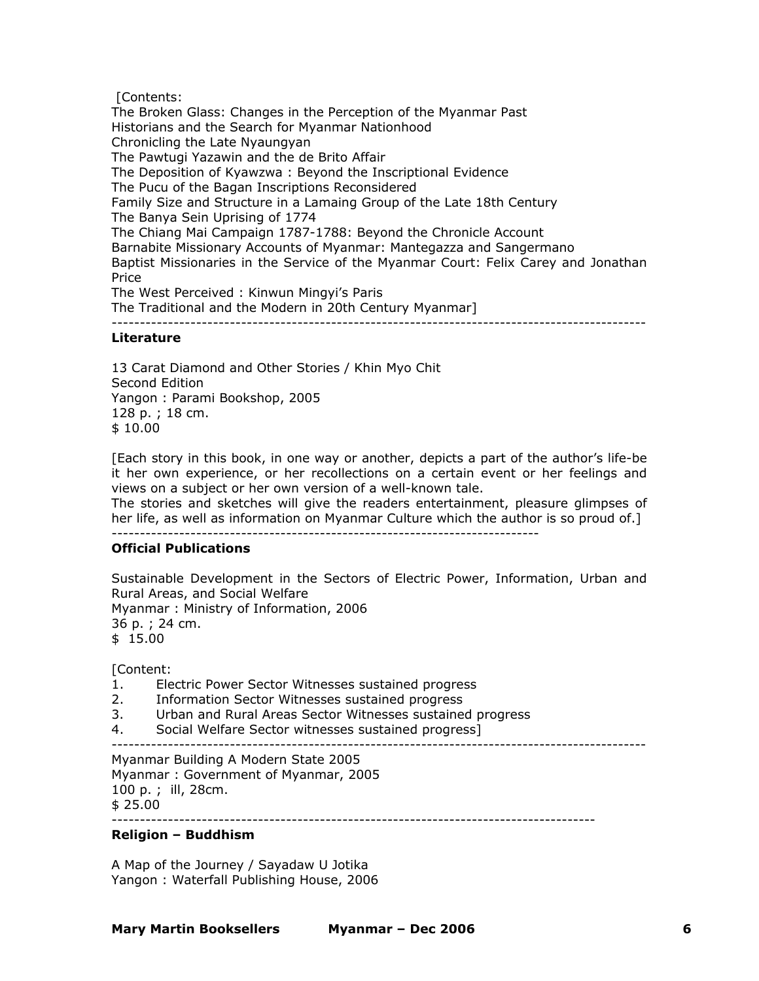[Contents:

The Broken Glass: Changes in the Perception of the Myanmar Past Historians and the Search for Myanmar Nationhood Chronicling the Late Nyaungyan The Pawtugi Yazawin and the de Brito Affair The Deposition of Kyawzwa : Beyond the Inscriptional Evidence The Pucu of the Bagan Inscriptions Reconsidered Family Size and Structure in a Lamaing Group of the Late 18th Century The Banya Sein Uprising of 1774 The Chiang Mai Campaign 1787-1788: Beyond the Chronicle Account Barnabite Missionary Accounts of Myanmar: Mantegazza and Sangermano Baptist Missionaries in the Service of the Myanmar Court: Felix Carey and Jonathan Price The West Perceived : Kinwun Mingyi's Paris The Traditional and the Modern in 20th Century Myanmar] -----------------------------------------------------------------------------------------------

## **Literature**

13 Carat Diamond and Other Stories / Khin Myo Chit Second Edition Yangon : Parami Bookshop, 2005 128 p. ; 18 cm. \$ 10.00

[Each story in this book, in one way or another, depicts a part of the author's life-be it her own experience, or her recollections on a certain event or her feelings and views on a subject or her own version of a well-known tale.

The stories and sketches will give the readers entertainment, pleasure glimpses of her life, as well as information on Myanmar Culture which the author is so proud of.] ----------------------------------------------------------------------------

## **Official Publications**

Sustainable Development in the Sectors of Electric Power, Information, Urban and Rural Areas, and Social Welfare Myanmar : Ministry of Information, 2006 36 p. ; 24 cm. \$ 15.00

[Content:

- 1. Electric Power Sector Witnesses sustained progress
- 2. Information Sector Witnesses sustained progress
- 3. Urban and Rural Areas Sector Witnesses sustained progress
- 4. Social Welfare Sector witnesses sustained progress]
- -----------------------------------------------------------------------------------------------

Myanmar Building A Modern State 2005 Myanmar : Government of Myanmar, 2005 100 p. ; ill, 28cm. \$ 25.00

--------------------------------------------------------------------------------------

# **Religion – Buddhism**

A Map of the Journey / Sayadaw U Jotika Yangon : Waterfall Publishing House, 2006